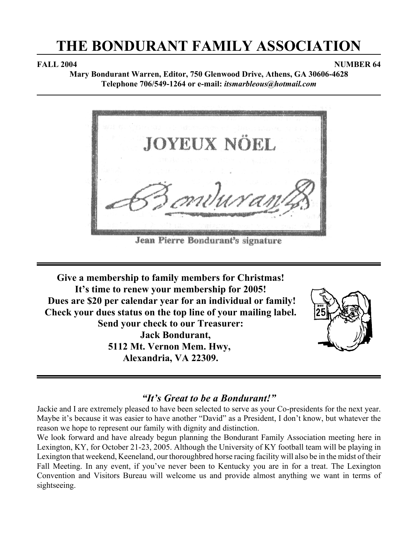# **THE BONDURANT FAMILY ASSOCIATION**

**FALL 2004** NUMBER 64

**Mary Bondurant Warren, Editor, 750 Glenwood Drive, Athens, GA 30606-4628 Telephone 706/549-1264 or e-mail:** *itsmarbleous@hotmail.com*



Jean Pierre Bondurant's signature

**Give a membership to family members for Christmas! It's time to renew your membership for 2005! Dues are \$20 per calendar year for an individual or family! Check your dues status on the top line of your mailing label. Send your check to our Treasurer: Jack Bondurant, 5112 Mt. Vernon Mem. Hwy, Alexandria, VA 22309.**



# *"It's Great to be a Bondurant!"*

Jackie and I are extremely pleased to have been selected to serve as your Co-presidents for the next year. Maybe it's because it was easier to have another "David" as a President, I don't know, but whatever the reason we hope to represent our family with dignity and distinction.

We look forward and have already begun planning the Bondurant Family Association meeting here in Lexington, KY, for October 21-23, 2005. Although the University of KY football team will be playing in Lexington that weekend, Keeneland, our thoroughbred horse racing facility will also be in the midst of their Fall Meeting. In any event, if you've never been to Kentucky you are in for a treat. The Lexington Convention and Visitors Bureau will welcome us and provide almost anything we want in terms of sightseeing.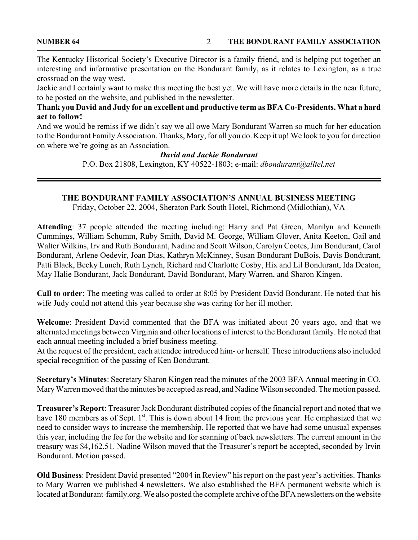The Kentucky Historical Society's Executive Director is a family friend, and is helping put together an interesting and informative presentation on the Bondurant family, as it relates to Lexington, as a true crossroad on the way west.

Jackie and I certainly want to make this meeting the best yet. We will have more details in the near future, to be posted on the website, and published in the newsletter.

**Thank you David and Judy for an excellent and productive term as BFA Co-Presidents. What a hard act to follow!** 

And we would be remiss if we didn't say we all owe Mary Bondurant Warren so much for her education to the Bondurant Family Association. Thanks, Mary, for all you do. Keep it up! We look to you for direction on where we're going as an Association.

#### *David and Jackie Bondurant*

P.O. Box 21808, Lexington, KY 40522-1803; e-mail: *dbondurant@alltel.net*

#### **THE BONDURANT FAMILY ASSOCIATION'S ANNUAL BUSINESS MEETING**

Friday, October 22, 2004, Sheraton Park South Hotel, Richmond (Midlothian), VA

**Attending**: 37 people attended the meeting including: Harry and Pat Green, Marilyn and Kenneth Cummings, William Schumm, Ruby Smith, David M. George, William Glover, Anita Keeton, Gail and Walter Wilkins, Irv and Ruth Bondurant, Nadine and Scott Wilson, Carolyn Cootes, Jim Bondurant, Carol Bondurant, Arlene Oedevir, Joan Dias, Kathryn McKinney, Susan Bondurant DuBois, Davis Bondurant, Patti Black, Becky Lunch, Ruth Lynch, Richard and Charlotte Cosby, Hix and Lil Bondurant, Ida Deaton, May Halie Bondurant, Jack Bondurant, David Bondurant, Mary Warren, and Sharon Kingen.

**Call to order**: The meeting was called to order at 8:05 by President David Bondurant. He noted that his wife Judy could not attend this year because she was caring for her ill mother.

**Welcome**: President David commented that the BFA was initiated about 20 years ago, and that we alternated meetings between Virginia and other locations of interest to the Bondurant family. He noted that each annual meeting included a brief business meeting.

At the request of the president, each attendee introduced him- or herself. These introductions also included special recognition of the passing of Ken Bondurant.

**Secretary's Minutes**: Secretary Sharon Kingen read the minutes of the 2003 BFA Annual meeting in CO. Mary Warren moved that the minutes be accepted as read, and Nadine Wilson seconded. The motion passed.

**Treasurer's Report**: Treasurer Jack Bondurant distributed copies of the financial report and noted that we have 180 members as of Sept. 1<sup>st</sup>. This is down about 14 from the previous year. He emphasized that we need to consider ways to increase the membership. He reported that we have had some unusual expenses this year, including the fee for the website and for scanning of back newsletters. The current amount in the treasury was \$4,162.51. Nadine Wilson moved that the Treasurer's report be accepted, seconded by Irvin Bondurant. Motion passed.

**Old Business**: President David presented "2004 in Review" his report on the past year's activities. Thanks to Mary Warren we published 4 newsletters. We also established the BFA permanent website which is located at Bondurant-family.org. We also posted the complete archive of the BFA newsletters on the website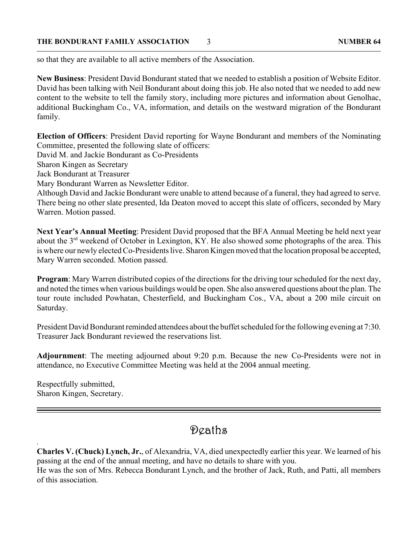so that they are available to all active members of the Association.

**New Business**: President David Bondurant stated that we needed to establish a position of Website Editor. David has been talking with Neil Bondurant about doing this job. He also noted that we needed to add new content to the website to tell the family story, including more pictures and information about Genolhac, additional Buckingham Co., VA, information, and details on the westward migration of the Bondurant family.

**Election of Officers**: President David reporting for Wayne Bondurant and members of the Nominating Committee, presented the following slate of officers:

David M. and Jackie Bondurant as Co-Presidents

Sharon Kingen as Secretary

Jack Bondurant at Treasurer

Mary Bondurant Warren as Newsletter Editor.

Although David and Jackie Bondurant were unable to attend because of a funeral, they had agreed to serve. There being no other slate presented, Ida Deaton moved to accept this slate of officers, seconded by Mary Warren. Motion passed.

**Next Year's Annual Meeting**: President David proposed that the BFA Annual Meeting be held next year about the 3<sup>rd</sup> weekend of October in Lexington, KY. He also showed some photographs of the area. This is where our newly elected Co-Presidents live. Sharon Kingen moved that the location proposal be accepted, Mary Warren seconded. Motion passed.

**Program**: Mary Warren distributed copies of the directions for the driving tour scheduled for the next day, and noted the times when various buildings would be open. She also answered questions about the plan. The tour route included Powhatan, Chesterfield, and Buckingham Cos., VA, about a 200 mile circuit on Saturday.

President David Bondurant reminded attendees about the buffet scheduled for the following evening at 7:30. Treasurer Jack Bondurant reviewed the reservations list.

**Adjournment**: The meeting adjourned about 9:20 p.m. Because the new Co-Presidents were not in attendance, no Executive Committee Meeting was held at the 2004 annual meeting.

Respectfully submitted, Sharon Kingen, Secretary.

*.*

# Deaths

**Charles V. (Chuck) Lynch, Jr.**, of Alexandria, VA, died unexpectedly earlier this year. We learned of his passing at the end of the annual meeting, and have no details to share with you. He was the son of Mrs. Rebecca Bondurant Lynch, and the brother of Jack, Ruth, and Patti, all members of this association.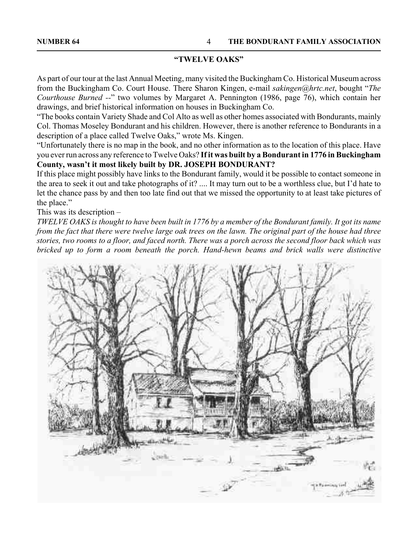#### **"TWELVE OAKS"**

As part of our tour at the last Annual Meeting, many visited the Buckingham Co. Historical Museum across from the Buckingham Co. Court House. There Sharon Kingen, e-mail *sakingen@hrtc.net*, bought "*The Courthouse Burned --*" two volumes by Margaret A. Pennington (1986, page 76), which contain her drawings, and brief historical information on houses in Buckingham Co.

"The books contain Variety Shade and Col Alto as well as other homes associated with Bondurants, mainly Col. Thomas Moseley Bondurant and his children. However, there is another reference to Bondurants in a description of a place called Twelve Oaks," wrote Ms. Kingen.

"Unfortunately there is no map in the book, and no other information as to the location of this place. Have you ever run across any reference to Twelve Oaks? **If it was built by a Bondurant in 1776 in Buckingham County, wasn't it most likely built by DR. JOSEPH BONDURANT?**

If this place might possibly have links to the Bondurant family, would it be possible to contact someone in the area to seek it out and take photographs of it? .... It may turn out to be a worthless clue, but I'd hate to let the chance pass by and then too late find out that we missed the opportunity to at least take pictures of the place."

This was its description –

*TWELVE OAKS is thought to have been built in 1776 by a member of the Bondurant family. It got its name from the fact that there were twelve large oak trees on the lawn. The original part of the house had three stories, two rooms to a floor, and faced north. There was a porch across the second floor back which was bricked up to form a room beneath the porch. Hand-hewn beams and brick walls were distinctive*

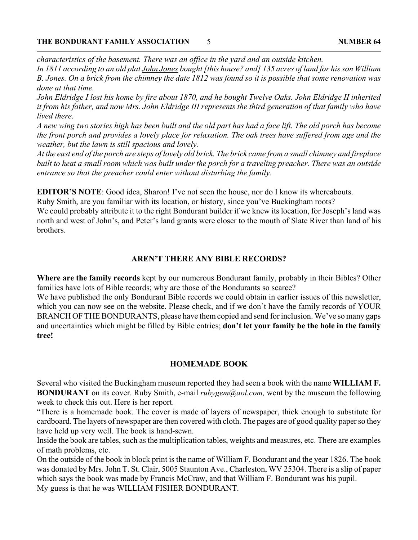*characteristics of the basement. There was an office in the yard and an outside kitchen.*

*In 1811 according to an old plat John Jones bought [this house? and] 135 acres of land for his son William B. Jones. On a brick from the chimney the date 1812 was found so it is possible that some renovation was done at that time.*

*John Eldridge I lost his home by fire about 1870, and he bought Twelve Oaks. John Eldridge II inherited it from his father, and now Mrs. John Eldridge III represents the third generation of that family who have lived there.*

*A new wing two stories high has been built and the old part has had a face lift. The old porch has become the front porch and provides a lovely place for relaxation. The oak trees have suffered from age and the weather, but the lawn is still spacious and lovely.*

*At the east end of the porch are steps of lovely old brick. The brick came from a small chimney and fireplace built to heat a small room which was built under the porch for a traveling preacher. There was an outside entrance so that the preacher could enter without disturbing the family*.

**EDITOR'S NOTE:** Good idea, Sharon! I've not seen the house, nor do I know its whereabouts.

Ruby Smith, are you familiar with its location, or history, since you've Buckingham roots?

We could probably attribute it to the right Bondurant builder if we knew its location, for Joseph's land was north and west of John's, and Peter's land grants were closer to the mouth of Slate River than land of his brothers.

#### **AREN'T THERE ANY BIBLE RECORDS?**

**Where are the family records** kept by our numerous Bondurant family, probably in their Bibles? Other families have lots of Bible records; why are those of the Bondurants so scarce?

We have published the only Bondurant Bible records we could obtain in earlier issues of this newsletter, which you can now see on the website. Please check, and if we don't have the family records of YOUR BRANCH OF THE BONDURANTS, please have them copied and send for inclusion. We've so many gaps and uncertainties which might be filled by Bible entries; **don't let your family be the hole in the family tree!**

#### **HOMEMADE BOOK**

Several who visited the Buckingham museum reported they had seen a book with the name **WILLIAM F. BONDURANT** on its cover. Ruby Smith, e-mail *rubygem@aol.com,* went by the museum the following week to check this out. Here is her report.

"There is a homemade book. The cover is made of layers of newspaper, thick enough to substitute for cardboard. The layers of newspaper are then covered with cloth. The pages are of good quality paper so they have held up very well. The book is hand-sewn.

Inside the book are tables, such as the multiplication tables, weights and measures, etc. There are examples of math problems, etc.

On the outside of the book in block print is the name of William F. Bondurant and the year 1826. The book was donated by Mrs. John T. St. Clair, 5005 Staunton Ave., Charleston, WV 25304. There is a slip of paper which says the book was made by Francis McCraw, and that William F. Bondurant was his pupil. My guess is that he was WILLIAM FISHER BONDURANT.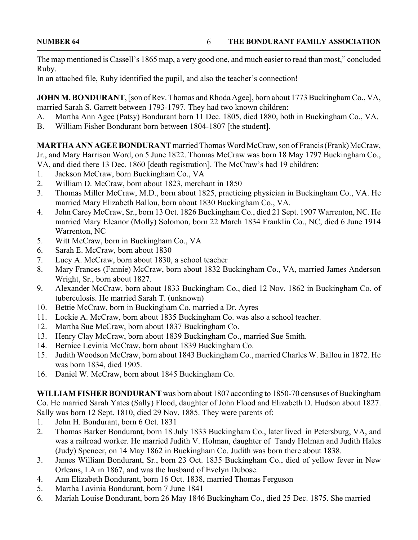The map mentioned is Cassell's 1865 map, a very good one, and much easier to read than most," concluded Ruby.

In an attached file, Ruby identified the pupil, and also the teacher's connection!

**JOHN M. BONDURANT**, [son of Rev. Thomas and Rhoda Agee], born about 1773 Buckingham Co., VA, married Sarah S. Garrett between 1793-1797. They had two known children:

- A. Martha Ann Agee (Patsy) Bondurant born 11 Dec. 1805, died 1880, both in Buckingham Co., VA.
- B. William Fisher Bondurant born between 1804-1807 [the student].

**MARTHA ANN AGEE BONDURANT** married Thomas Word McCraw, son of Francis (Frank) McCraw, Jr., and Mary Harrison Word, on 5 June 1822. Thomas McCraw was born 18 May 1797 Buckingham Co., VA, and died there 13 Dec. 1860 [death registration]. The McCraw's had 19 children:

- 1. Jackson McCraw, born Buckingham Co., VA
- 2. William D. McCraw, born about 1823, merchant in 1850
- 3. Thomas Miller McCraw, M.D., born about 1825, practicing physician in Buckingham Co., VA. He married Mary Elizabeth Ballou, born about 1830 Buckingham Co., VA.
- 4. John Carey McCraw, Sr., born 13 Oct. 1826 Buckingham Co., died 21 Sept. 1907 Warrenton, NC. He married Mary Eleanor (Molly) Solomon, born 22 March 1834 Franklin Co., NC, died 6 June 1914 Warrenton, NC
- 5. Witt McCraw, born in Buckingham Co., VA
- 6. Sarah E. McCraw, born about 1830
- 7. Lucy A. McCraw, born about 1830, a school teacher
- 8. Mary Frances (Fannie) McCraw, born about 1832 Buckingham Co., VA, married James Anderson Wright, Sr., born about 1827.
- 9. Alexander McCraw, born about 1833 Buckingham Co., died 12 Nov. 1862 in Buckingham Co. of tuberculosis. He married Sarah T. (unknown)
- 10. Bettie McCraw, born in Buckingham Co. married a Dr. Ayres
- 11. Lockie A. McCraw, born about 1835 Buckingham Co. was also a school teacher.
- 12. Martha Sue McCraw, born about 1837 Buckingham Co.
- 13. Henry Clay McCraw, born about 1839 Buckingham Co., married Sue Smith.
- 14. Bernice Levinia McCraw, born about 1839 Buckingham Co.
- 15. Judith Woodson McCraw, born about 1843 Buckingham Co., married Charles W. Ballou in 1872. He was born 1834, died 1905.
- 16. Daniel W. McCraw, born about 1845 Buckingham Co.

**WILLIAM FISHER BONDURANT** was born about 1807 according to 1850-70 censuses of Buckingham Co. He married Sarah Yates (Sally) Flood, daughter of John Flood and Elizabeth D. Hudson about 1827. Sally was born 12 Sept. 1810, died 29 Nov. 1885. They were parents of:

- 1. John H. Bondurant, born 6 Oct. 1831
- 2. Thomas Barker Bondurant, born 18 July 1833 Buckingham Co., later lived in Petersburg, VA, and was a railroad worker. He married Judith V. Holman, daughter of Tandy Holman and Judith Hales (Judy) Spencer, on 14 May 1862 in Buckingham Co. Judith was born there about 1838.
- 3. James William Bondurant, Sr., born 23 Oct. 1835 Buckingham Co., died of yellow fever in New Orleans, LA in 1867, and was the husband of Evelyn Dubose.
- 4. Ann Elizabeth Bondurant, born 16 Oct. 1838, married Thomas Ferguson
- 5. Martha Lavinia Bondurant, born 7 June 1841
- 6. Mariah Louise Bondurant, born 26 May 1846 Buckingham Co., died 25 Dec. 1875. She married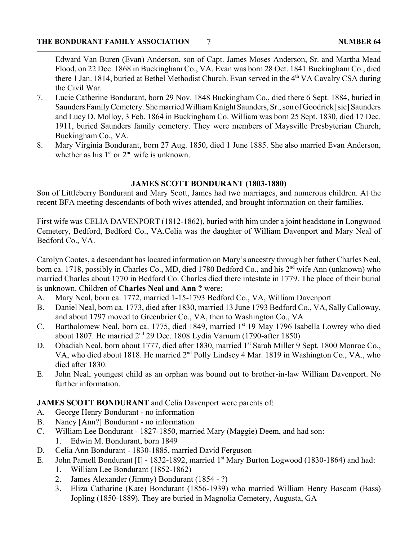Edward Van Buren (Evan) Anderson, son of Capt. James Moses Anderson, Sr. and Martha Mead Flood, on 22 Dec. 1868 in Buckingham Co., VA. Evan was born 28 Oct. 1841 Buckingham Co., died there 1 Jan. 1814, buried at Bethel Methodist Church. Evan served in the 4<sup>th</sup> VA Cavalry CSA during the Civil War.

- 7. Lucie Catherine Bondurant, born 29 Nov. 1848 Buckingham Co., died there 6 Sept. 1884, buried in Saunders Family Cemetery. She married William Knight Saunders, Sr., son of Goodrick [sic] Saunders and Lucy D. Molloy, 3 Feb. 1864 in Buckingham Co. William was born 25 Sept. 1830, died 17 Dec. 1911, buried Saunders family cemetery. They were members of Maysville Presbyterian Church, Buckingham Co., VA.
- 8. Mary Virginia Bondurant, born 27 Aug. 1850, died 1 June 1885. She also married Evan Anderson, whether as his  $1<sup>st</sup>$  or  $2<sup>nd</sup>$  wife is unknown.

#### **JAMES SCOTT BONDURANT (1803-1880)**

Son of Littleberry Bondurant and Mary Scott, James had two marriages, and numerous children. At the recent BFA meeting descendants of both wives attended, and brought information on their families.

First wife was CELIA DAVENPORT (1812-1862), buried with him under a joint headstone in Longwood Cemetery, Bedford, Bedford Co., VA.Celia was the daughter of William Davenport and Mary Neal of Bedford Co., VA.

Carolyn Cootes, a descendant has located information on Mary's ancestry through her father Charles Neal, born ca. 1718, possibly in Charles Co., MD, died 1780 Bedford Co., and his 2<sup>nd</sup> wife Ann (unknown) who married Charles about 1770 in Bedford Co. Charles died there intestate in 1779. The place of their burial is unknown. Children of **Charles Neal and Ann ?** were:

- A. Mary Neal, born ca. 1772, married 1-15-1793 Bedford Co., VA, William Davenport
- B. Daniel Neal, born ca. 1773, died after 1830, married 13 June 1793 Bedford Co., VA, Sally Calloway, and about 1797 moved to Greenbrier Co., VA, then to Washington Co., VA
- C. Bartholomew Neal, born ca. 1775, died 1849, married 1<sup>st</sup> 19 May 1796 Isabella Lowrey who died about 1807. He married  $2<sup>nd</sup>$  29 Dec. 1808 Lydia Varnum (1790-after 1850)
- D. Obadiah Neal, born about 1777, died after 1830, married 1<sup>st</sup> Sarah Miller 9 Sept. 1800 Monroe Co., VA, who died about 1818. He married 2<sup>nd</sup> Polly Lindsey 4 Mar. 1819 in Washington Co., VA., who died after 1830.
- E. John Neal, youngest child as an orphan was bound out to brother-in-law William Davenport. No further information.

#### **JAMES SCOTT BONDURANT** and Celia Davenport were parents of:

- A. George Henry Bondurant no information
- B. Nancy [Ann?] Bondurant no information
- C. William Lee Bondurant 1827-1850, married Mary (Maggie) Deem, and had son: 1. Edwin M. Bondurant, born 1849
- D. Celia Ann Bondurant 1830-1885, married David Ferguson
- E. John Parnell Bondurant [I] 1832-1892, married 1<sup>st</sup> Mary Burton Logwood (1830-1864) and had:
	- 1. William Lee Bondurant (1852-1862)
	- 2. James Alexander (Jimmy) Bondurant (1854 ?)
	- 3. Eliza Catharine (Kate) Bondurant (1856-1939) who married William Henry Bascom (Bass) Jopling (1850-1889). They are buried in Magnolia Cemetery, Augusta, GA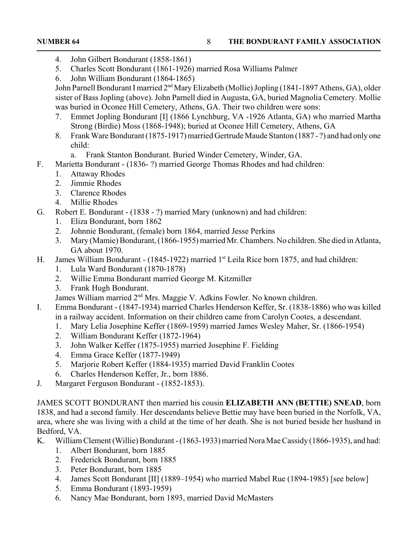- 4. John Gilbert Bondurant (1858-1861)
- 5. Charles Scott Bondurant (1861-1926) married Rosa Williams Palmer
- 6. John William Bondurant (1864-1865)

John Parnell Bondurant I married 2<sup>nd</sup> Mary Elizabeth (Mollie) Jopling (1841-1897 Athens, GA), older sister of Bass Jopling (above). John Parnell died in Augusta, GA, buried Magnolia Cemetery. Mollie was buried in Oconee Hill Cemetery, Athens, GA. Their two children were sons:

- 7. Emmet Jopling Bondurant [I] (1866 Lynchburg, VA -1926 Atlanta, GA) who married Martha Strong (Birdie) Moss (1868-1948); buried at Oconee Hill Cemetery, Athens, GA
- 8. Frank Ware Bondurant (1875-1917) married Gertrude Maude Stanton (1887 ?) and had only one child:
	- a. Frank Stanton Bondurant. Buried Winder Cemetery, Winder, GA.
- F. Marietta Bondurant (1836- ?) married George Thomas Rhodes and had children:
	- 1. Attaway Rhodes
	- 2. Jimmie Rhodes
	- 3. Clarence Rhodes
	- 4. Millie Rhodes
- G. Robert E. Bondurant (1838 ?) married Mary (unknown) and had children:
	- 1. Eliza Bondurant, born 1862
	- 2. Johnnie Bondurant, (female) born 1864, married Jesse Perkins
	- 3. Mary (Mamie) Bondurant, (1866-1955) married Mr. Chambers. No children. She died in Atlanta, GA about 1970.
- H. James William Bondurant (1845-1922) married 1<sup>st</sup> Leila Rice born 1875, and had children:
	- 1. Lula Ward Bondurant (1870-1878)
	- 2. Willie Emma Bondurant married George M. Kitzmiller
	- 3. Frank Hugh Bondurant.

James William married 2<sup>nd</sup> Mrs. Maggie V. Adkins Fowler. No known children.

- I. Emma Bondurant (1847-1934) married Charles Henderson Keffer, Sr. (1838-1886) who was killed in a railway accident. Information on their children came from Carolyn Cootes, a descendant.
	- 1. Mary Lelia Josephine Keffer (1869-1959) married James Wesley Maher, Sr. (1866-1954)
	- 2. William Bondurant Keffer (1872-1964)
	- 3. John Walker Keffer (1875-1955) married Josephine F. Fielding
	- 4. Emma Grace Keffer (1877-1949)
	- 5. Marjorie Robert Keffer (1884-1935) married David Franklin Cootes
	- 6. Charles Henderson Keffer, Jr., born 1886.
- J. Margaret Ferguson Bondurant (1852-1853).

JAMES SCOTT BONDURANT then married his cousin **ELIZABETH ANN (BETTIE) SNEAD**, born 1838, and had a second family. Her descendants believe Bettie may have been buried in the Norfolk, VA, area, where she was living with a child at the time of her death. She is not buried beside her husband in Bedford, VA.

- K. William Clement (Willie) Bondurant (1863-1933) married Nora Mae Cassidy (1866-1935), and had:
	- 1. Albert Bondurant, born 1885
	- 2. Frederick Bondurant, born 1885
	- 3. Peter Bondurant, born 1885
	- 4. James Scott Bondurant [II] (1889–1954) who married Mabel Rue (1894-1985) [see below]
	- 5. Emma Bondurant (1893-1959)
	- 6. Nancy Mae Bondurant, born 1893, married David McMasters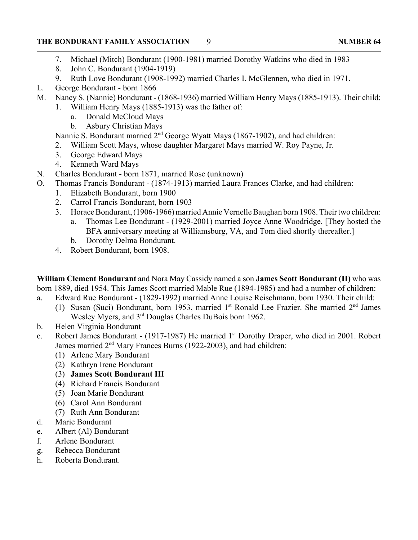- 7. Michael (Mitch) Bondurant (1900-1981) married Dorothy Watkins who died in 1983
- 8. John C. Bondurant (1904-1919)
- 9. Ruth Love Bondurant (1908-1992) married Charles I. McGlennen, who died in 1971.
- L. George Bondurant born 1866
- M. Nancy S. (Nannie) Bondurant (1868-1936) married William Henry Mays (1885-1913). Their child:
	- 1. William Henry Mays (1885-1913) was the father of:
		- a. Donald McCloud Mays
		- b. Asbury Christian Mays

Nannie S. Bondurant married 2<sup>nd</sup> George Wyatt Mays (1867-1902), and had children:

- 2. William Scott Mays, whose daughter Margaret Mays married W. Roy Payne, Jr.
- 3. George Edward Mays
- 4. Kenneth Ward Mays
- N. Charles Bondurant born 1871, married Rose (unknown)
- O. Thomas Francis Bondurant (1874-1913) married Laura Frances Clarke, and had children:
	- 1. Elizabeth Bondurant, born 1900
	- 2. Carrol Francis Bondurant, born 1903
	- 3. Horace Bondurant, (1906-1966) married Annie Vernelle Baughan born 1908. Their two children: a. Thomas Lee Bondurant - (1929-2001) married Joyce Anne Woodridge. [They hosted the BFA anniversary meeting at Williamsburg, VA, and Tom died shortly thereafter.]
		- b. Dorothy Delma Bondurant.
	- 4. Robert Bondurant, born 1908.

**William Clement Bondurant** and Nora May Cassidy named a son **James Scott Bondurant (II)** who was born 1889, died 1954. This James Scott married Mable Rue (1894-1985) and had a number of children:

- a. Edward Rue Bondurant (1829-1992) married Anne Louise Reischmann, born 1930. Their child:
	- (1) Susan (Suci) Bondurant, born 1953, married  $1<sup>st</sup>$  Ronald Lee Frazier. She married  $2<sup>nd</sup>$  James Wesley Myers, and 3<sup>rd</sup> Douglas Charles DuBois born 1962.
- b. Helen Virginia Bondurant
- c. Robert James Bondurant (1917-1987) He married 1st Dorothy Draper, who died in 2001. Robert James married 2<sup>nd</sup> Mary Frances Burns (1922-2003), and had children:
	- (1) Arlene Mary Bondurant
	- (2) Kathryn Irene Bondurant
	- (3) **James Scott Bondurant III**
	- (4) Richard Francis Bondurant
	- (5) Joan Marie Bondurant
	- (6) Carol Ann Bondurant
	- (7) Ruth Ann Bondurant
- d. Marie Bondurant
- e. Albert (Al) Bondurant
- f. Arlene Bondurant
- g. Rebecca Bondurant
- h. Roberta Bondurant.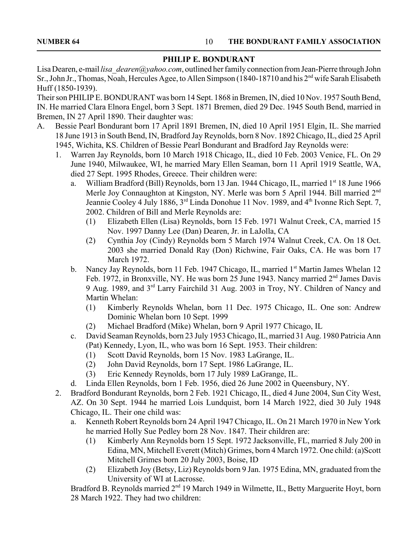#### **PHILIP E. BONDURANT**

Lisa Dearen, e-mail *lisa\_dearen@yahoo.com*, outlined her family connection from Jean-Pierre through John Sr., John Jr., Thomas, Noah, Hercules Agee, to Allen Simpson (1840-18710 and his 2<sup>nd</sup> wife Sarah Elisabeth Huff (1850-1939).

Their son PHILIP E. BONDURANT was born 14 Sept. 1868 in Bremen, IN, died 10 Nov. 1957 South Bend, IN. He married Clara Elnora Engel, born 3 Sept. 1871 Bremen, died 29 Dec. 1945 South Bend, married in Bremen, IN 27 April 1890. Their daughter was:

- A. Bessie Pearl Bondurant born 17 April 1891 Bremen, IN, died 10 April 1951 Elgin, IL. She married 18 June 1913 in South Bend, IN, Bradford Jay Reynolds, born 8 Nov. 1892 Chicago, IL, died 25 April 1945, Wichita, KS. Children of Bessie Pearl Bondurant and Bradford Jay Reynolds were:
	- 1. Warren Jay Reynolds, born 10 March 1918 Chicago, IL, died 10 Feb. 2003 Venice, FL. On 29 June 1940, Milwaukee, WI, he married Mary Ellen Seaman, born 11 April 1919 Seattle, WA, died 27 Sept. 1995 Rhodes, Greece. Their children were:
		- a. William Bradford (Bill) Reynolds, born 13 Jan. 1944 Chicago, IL, married 1<sup>st</sup> 18 June 1966 Merle Joy Connaughton at Kingston, NY. Merle was born 5 April 1944. Bill married 2nd Jeannie Cooley 4 July 1886, 3<sup>rd</sup> Linda Donohue 11 Nov. 1989, and 4<sup>th</sup> Ivonne Rich Sept. 7, 2002. Children of Bill and Merle Reynolds are:
			- (1) Elizabeth Ellen (Lisa) Reynolds, born 15 Feb. 1971 Walnut Creek, CA, married 15 Nov. 1997 Danny Lee (Dan) Dearen, Jr. in LaJolla, CA
			- (2) Cynthia Joy (Cindy) Reynolds born 5 March 1974 Walnut Creek, CA. On 18 Oct. 2003 she married Donald Ray (Don) Richwine, Fair Oaks, CA. He was born 17 March 1972.
		- b. Nancy Jay Reynolds, born 11 Feb. 1947 Chicago, IL, married 1<sup>st</sup> Martin James Whelan 12 Feb. 1972, in Bronxville, NY. He was born 25 June 1943. Nancy married 2<sup>nd</sup> James Davis 9 Aug. 1989, and 3rd Larry Fairchild 31 Aug. 2003 in Troy, NY. Children of Nancy and Martin Whelan:
			- (1) Kimberly Reynolds Whelan, born 11 Dec. 1975 Chicago, IL. One son: Andrew Dominic Whelan born 10 Sept. 1999
			- (2) Michael Bradford (Mike) Whelan, born 9 April 1977 Chicago, IL
		- c. David Seaman Reynolds, born 23 July 1953 Chicago, IL, married 31 Aug. 1980 Patricia Ann (Pat) Kennedy, Lyon, IL, who was born 16 Sept. 1953. Their children:
			- (1) Scott David Reynolds, born 15 Nov. 1983 LaGrange, IL.
			- (2) John David Reynolds, born 17 Sept. 1986 LaGrange, IL.
			- (3) Eric Kennedy Reynolds, born 17 July 1989 LaGrange, IL.
		- d. Linda Ellen Reynolds, born 1 Feb. 1956, died 26 June 2002 in Queensbury, NY.
	- 2. Bradford Bondurant Reynolds, born 2 Feb. 1921 Chicago, IL, died 4 June 2004, Sun City West, AZ. On 30 Sept. 1944 he married Lois Lundquist, born 14 March 1922, died 30 July 1948 Chicago, IL. Their one child was:
		- a. Kenneth Robert Reynolds born 24 April 1947 Chicago, IL. On 21 March 1970 in New York he married Holly Sue Pedley born 28 Nov. 1847. Their children are:
			- (1) Kimberly Ann Reynolds born 15 Sept. 1972 Jacksonville, FL, married 8 July 200 in Edina, MN, Mitchell Everett (Mitch) Grimes, born 4 March 1972. One child: (a)Scott Mitchell Grimes born 20 July 2003, Boise, ID
			- (2) Elizabeth Joy (Betsy, Liz) Reynolds born 9 Jan. 1975 Edina, MN, graduated from the University of WI at Lacrosse.

Bradford B. Reynolds married 2<sup>nd</sup> 19 March 1949 in Wilmette, IL, Betty Marguerite Hoyt, born 28 March 1922. They had two children: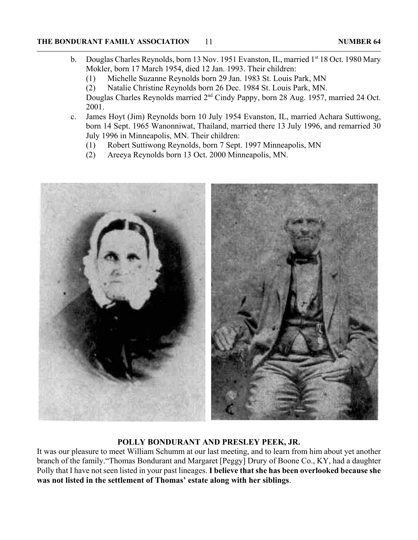- b. Douglas Charles Reynolds, born 13 Nov. 1951 Evanston, IL, married 1<sup>st</sup> 18 Oct. 1980 Mary Mokler, born 17 March 1954, died 12 Jan. 1993. Their children:
	- (1) Michelle Suzanne Reynolds born 29 Jan. 1983 St. Louis Park, MN

(2) Natalie Christine Reynolds born 26 Dec. 1984 St. Louis Park, MN.

Douglas Charles Reynolds married 2nd Cindy Pappy, born 28 Aug. 1957, married 24 Oct. 2001.

- c. James Hoyt (Jim) Reynolds born 10 July 1954 Evanston, IL, married Achara Suttiwong, born 14 Sept. 1965 Wanonniwat, Thailand, married there 13 July 1996, and remarried 30 July 1996 in Minneapolis, MN. Their children:
	- (1) Robert Suttiwong Reynolds, born 7 Sept. 1997 Minneapolis, MN
	- (2) Areeya Reynolds born 13 Oct. 2000 Minneapolis, MN.



### **POLLY BONDURANT AND PRESLEY PEEK, JR.**

It was our pleasure to meet William Schumm at our last meeting, and to learn from him about yet another branch of the family."Thomas Bondurant and Margaret [Peggy] Drury of Boone Co., KY, had a daughter Polly that I have not seen listed in your past lineages. **I believe that she has been overlooked because she was not listed in the settlement of Thomas' estate along with her siblings**.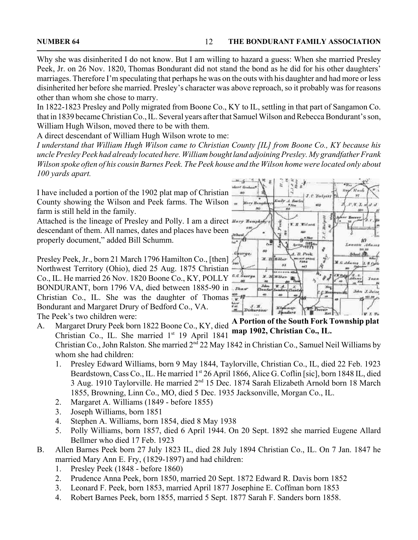Why she was disinherited I do not know. But I am willing to hazard a guess: When she married Presley Peek, Jr. on 26 Nov. 1820, Thomas Bondurant did not stand the bond as he did for his other daughters' marriages. Therefore I'm speculating that perhaps he was on the outs with his daughter and had more or less disinherited her before she married. Presley's character was above reproach, so it probably was for reasons other than whom she chose to marry.

In 1822-1823 Presley and Polly migrated from Boone Co., KY to IL, settling in that part of Sangamon Co. that in 1839 became Christian Co., IL. Several years after that Samuel Wilson and Rebecca Bondurant's son, William Hugh Wilson, moved there to be with them.

A direct descendant of William Hugh Wilson wrote to me:

*I understand that William Hugh Wilson came to Christian County [IL] from Boone Co., KY because his uncle Presley Peek had already located here. William bought land adjoining Presley. My grandfather Frank Wilson spoke often of his cousin Barnes Peek. The Peek house and the Wilson home were located only about 100 yards apart.*

I have included a portion of the 1902 plat map of Christian County showing the Wilson and Peek farms. The Wilson farm is still held in the family.

Attached is the lineage of Presley and Polly. I am a direct *Murpell* descendant of them. All names, dates and places have been properly document," added Bill Schumm.

Presley Peek, Jr., born 21 March 1796 Hamilton Co., [then] Northwest Territory (Ohio), died 25 Aug. 1875 Christian Co., IL. He married 26 Nov. 1820 Boone Co., KY, POLLY BONDURANT, born 1796 VA, died between 1885-90 in Christian Co., IL. She was the daughter of Thomas Bondurant and Margaret Drury of Bedford Co., VA. The Peek's two children were:



**A Portion of the South Fork Township plat map 1902, Christian Co., IL.** A. Margaret Drury Peek born 1822 Boone Co., KY, died Christian Co., IL. She married 1st 19 April 1841 Christian Co., John Ralston. She married 2nd 22 May 1842 in Christian Co., Samuel Neil Williams by whom she had children:

- 1. Presley Edward Williams, born 9 May 1844, Taylorville, Christian Co., IL, died 22 Feb. 1923 Beardstown, Cass Co., IL. He married 1<sup>st</sup> 26 April 1866, Alice G. Coflin [sic], born 1848 IL, died 3 Aug. 1910 Taylorville. He married  $2<sup>nd</sup>$  15 Dec. 1874 Sarah Elizabeth Arnold born 18 March 1855, Browning, Linn Co., MO, died 5 Dec. 1935 Jacksonville, Morgan Co., IL.
- 2. Margaret A. Williams (1849 before 1855)
- 3. Joseph Williams, born 1851
- 4. Stephen A. Williams, born 1854, died 8 May 1938
- 5. Polly Williams, born 1857, died 6 April 1944. On 20 Sept. 1892 she married Eugene Allard Bellmer who died 17 Feb. 1923
- B. Allen Barnes Peek born 27 July 1823 IL, died 28 July 1894 Christian Co., IL. On 7 Jan. 1847 he married Mary Ann E. Fry, (1829-1897) and had children:
	- 1. Presley Peek (1848 before 1860)
	- 2. Prudence Anna Peek, born 1850, married 20 Sept. 1872 Edward R. Davis born 1852
	- 3. Leonard F. Peek, born 1853, married April 1877 Josephine E. Coffman born 1853
	- 4. Robert Barnes Peek, born 1855, married 5 Sept. 1877 Sarah F. Sanders born 1858.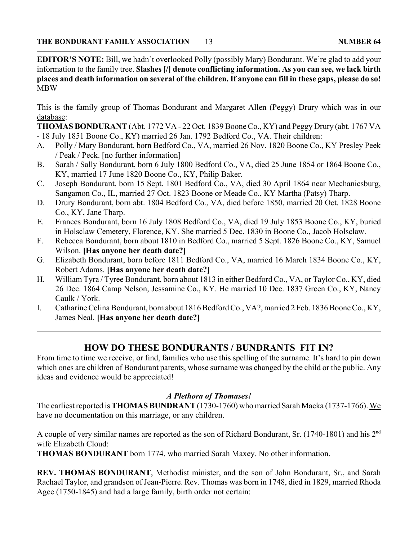**EDITOR'S NOTE:** Bill, we hadn't overlooked Polly (possibly Mary) Bondurant. We're glad to add your information to the family tree. **Slashes [/] denote conflicting information. As you can see, we lack birth places and death information on several of the children. If anyone can fill in these gaps, please do so!** MBW

This is the family group of Thomas Bondurant and Margaret Allen (Peggy) Drury which was in our database:

**THOMAS BONDURANT** (Abt. 1772 VA - 22 Oct. 1839 Boone Co., KY) and Peggy Drury (abt. 1767 VA - 18 July 1851 Boone Co., KY) married 26 Jan. 1792 Bedford Co., VA. Their children:

- A. Polly / Mary Bondurant, born Bedford Co., VA, married 26 Nov. 1820 Boone Co., KY Presley Peek / Peak / Peck. [no further information]
- B. Sarah / Sally Bondurant, born 6 July 1800 Bedford Co., VA, died 25 June 1854 or 1864 Boone Co., KY, married 17 June 1820 Boone Co., KY, Philip Baker.
- C. Joseph Bondurant, born 15 Sept. 1801 Bedford Co., VA, died 30 April 1864 near Mechanicsburg, Sangamon Co., IL, married 27 Oct. 1823 Boone or Meade Co., KY Martha (Patsy) Tharp.
- D. Drury Bondurant, born abt. 1804 Bedford Co., VA, died before 1850, married 20 Oct. 1828 Boone Co., KY, Jane Tharp.
- E. Frances Bondurant, born 16 July 1808 Bedford Co., VA, died 19 July 1853 Boone Co., KY, buried in Holsclaw Cemetery, Florence, KY. She married 5 Dec. 1830 in Boone Co., Jacob Holsclaw.
- F. Rebecca Bondurant, born about 1810 in Bedford Co., married 5 Sept. 1826 Boone Co., KY, Samuel Wilson. **[Has anyone her death date?]**
- G. Elizabeth Bondurant, born before 1811 Bedford Co., VA, married 16 March 1834 Boone Co., KY, Robert Adams. **[Has anyone her death date?]**
- H. William Tyra / Tyree Bondurant, born about 1813 in either Bedford Co., VA, or Taylor Co., KY, died 26 Dec. 1864 Camp Nelson, Jessamine Co., KY. He married 10 Dec. 1837 Green Co., KY, Nancy Caulk / York.
- I. Catharine Celina Bondurant, born about 1816 Bedford Co., VA?, married 2 Feb. 1836 Boone Co., KY, James Neal. **[Has anyone her death date?]**

### **HOW DO THESE BONDURANTS / BUNDRANTS FIT IN?**

From time to time we receive, or find, families who use this spelling of the surname. It's hard to pin down which ones are children of Bondurant parents, whose surname was changed by the child or the public. Any ideas and evidence would be appreciated!

#### *A Plethora of Thomases!*

The earliest reported is **THOMAS BUNDRANT** (1730-1760) who married Sarah Macka (1737-1766). We have no documentation on this marriage, or any children.

A couple of very similar names are reported as the son of Richard Bondurant, Sr. (1740-1801) and his 2nd wife Elizabeth Cloud:

**THOMAS BONDURANT** born 1774, who married Sarah Maxey. No other information.

**REV. THOMAS BONDURANT**, Methodist minister, and the son of John Bondurant, Sr., and Sarah Rachael Taylor, and grandson of Jean-Pierre. Rev. Thomas was born in 1748, died in 1829, married Rhoda Agee (1750-1845) and had a large family, birth order not certain: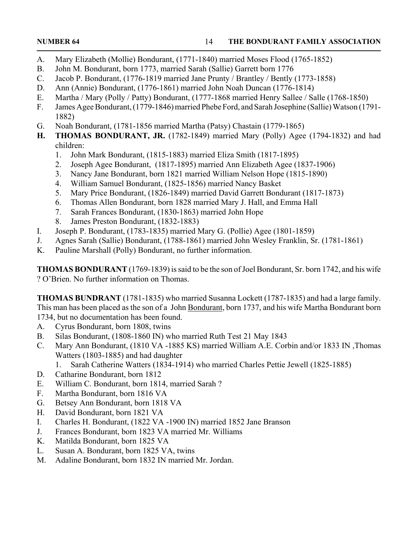- A. Mary Elizabeth (Mollie) Bondurant, (1771-1840) married Moses Flood (1765-1852)
- B. John M. Bondurant, born 1773, married Sarah (Sallie) Garrett born 1776
- C. Jacob P. Bondurant, (1776-1819 married Jane Prunty / Brantley / Bently (1773-1858)
- D. Ann (Annie) Bondurant, (1776-1861) married John Noah Duncan (1776-1814)
- E. Martha / Mary (Polly / Patty) Bondurant, (1777-1868 married Henry Sallee / Salle (1768-1850)
- F. James Agee Bondurant, (1779-1846) married Phebe Ford, and Sarah Josephine (Sallie) Watson (1791- 1882)
- G. Noah Bondurant, (1781-1856 married Martha (Patsy) Chastain (1779-1865)
- **H. THOMAS BONDURANT, JR.** (1782-1849) married Mary (Polly) Agee (1794-1832) and had children:
	- 1. John Mark Bondurant, (1815-1883) married Eliza Smith (1817-1895)
	- 2. Joseph Agee Bondurant, (1817-1895) married Ann Elizabeth Agee (1837-1906)
	- 3. Nancy Jane Bondurant, born 1821 married William Nelson Hope (1815-1890)
	- 4. William Samuel Bondurant, (1825-1856) married Nancy Basket
	- 5. Mary Price Bondurant, (1826-1849) married David Garrett Bondurant (1817-1873)
	- 6. Thomas Allen Bondurant, born 1828 married Mary J. Hall, and Emma Hall
	- 7. Sarah Frances Bondurant, (1830-1863) married John Hope
	- 8. James Preston Bondurant, (1832-1883)
- I. Joseph P. Bondurant, (1783-1835) married Mary G. (Pollie) Agee (1801-1859)
- J. Agnes Sarah (Sallie) Bondurant, (1788-1861) married John Wesley Franklin, Sr. (1781-1861)
- K. Pauline Marshall (Polly) Bondurant, no further information.

**THOMAS BONDURANT** (1769-1839) is said to be the son of Joel Bondurant, Sr. born 1742, and his wife ? O'Brien. No further information on Thomas.

**THOMAS BUNDRANT** (1781-1835) who married Susanna Lockett (1787-1835) and had a large family. This man has been placed as the son of a John Bondurant, born 1737, and his wife Martha Bondurant born 1734, but no documentation has been found.

- A. Cyrus Bondurant, born 1808, twins
- B. Silas Bondurant, (1808-1860 IN) who married Ruth Test 21 May 1843
- C. Mary Ann Bondurant, (1810 VA -1885 KS) married William A.E. Corbin and/or 1833 IN ,Thomas Watters (1803-1885) and had daughter
	- 1. Sarah Catherine Watters (1834-1914) who married Charles Pettie Jewell (1825-1885)
- D. Catharine Bondurant, born 1812
- E. William C. Bondurant, born 1814, married Sarah ?
- F. Martha Bondurant, born 1816 VA
- G. Betsey Ann Bondurant, born 1818 VA
- H. David Bondurant, born 1821 VA
- I. Charles H. Bondurant, (1822 VA -1900 IN) married 1852 Jane Branson
- J. Frances Bondurant, born 1823 VA married Mr. Williams
- K. Matilda Bondurant, born 1825 VA
- L. Susan A. Bondurant, born 1825 VA, twins
- M. Adaline Bondurant, born 1832 IN married Mr. Jordan.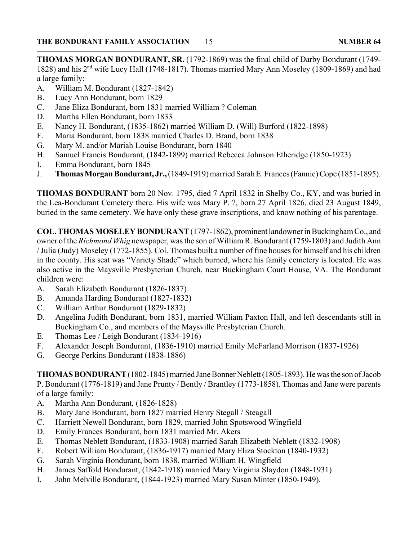**THOMAS MORGAN BONDURANT, SR.** (1792-1869) was the final child of Darby Bondurant (1749- 1828) and his 2nd wife Lucy Hall (1748-1817). Thomas married Mary Ann Moseley (1809-1869) and had a large family:

- A. William M. Bondurant (1827-1842)
- B. Lucy Ann Bondurant, born 1829
- C. Jane Eliza Bondurant, born 1831 married William ? Coleman
- D. Martha Ellen Bondurant, born 1833
- E. Nancy H. Bondurant, (1835-1862) married William D. (Will) Burford (1822-1898)
- F. Maria Bondurant, born 1838 married Charles D. Brand, born 1838
- G. Mary M. and/or Mariah Louise Bondurant, born 1840
- H. Samuel Francis Bondurant, (1842-1899) married Rebecca Johnson Etheridge (1850-1923)
- I. Emma Bondurant, born 1845
- J. **Thomas Morgan Bondurant, Jr.,** (1849-1919) married Sarah E. Frances (Fannie) Cope (1851-1895).

**THOMAS BONDURANT** born 20 Nov. 1795, died 7 April 1832 in Shelby Co., KY, and was buried in the Lea-Bondurant Cemetery there. His wife was Mary P. ?, born 27 April 1826, died 23 August 1849, buried in the same cemetery. We have only these grave inscriptions, and know nothing of his parentage.

**COL. THOMAS MOSELEY BONDURANT** (1797-1862), prominent landowner in Buckingham Co., and owner of the *Richmond Whig* newspaper, was the son of William R. Bondurant (1759-1803) and Judith Ann / Julia (Judy) Moseley (1772-1855). Col. Thomas built a number of fine houses for himself and his children in the county. His seat was "Variety Shade" which burned, where his family cemetery is located. He was also active in the Maysville Presbyterian Church, near Buckingham Court House, VA. The Bondurant children were:

- A. Sarah Elizabeth Bondurant (1826-1837)
- B. Amanda Harding Bondurant (1827-1832)
- C. William Arthur Bondurant (1829-1832)
- D. Angelina Judith Bondurant, born 1831, married William Paxton Hall, and left descendants still in Buckingham Co., and members of the Maysville Presbyterian Church.
- E. Thomas Lee / Leigh Bondurant (1834-1916)
- F. Alexander Joseph Bondurant, (1836-1910) married Emily McFarland Morrison (1837-1926)
- G. George Perkins Bondurant (1838-1886)

**THOMAS BONDURANT** (1802-1845) married Jane Bonner Neblett (1805-1893). He was the son of Jacob P. Bondurant (1776-1819) and Jane Prunty / Bently / Brantley (1773-1858). Thomas and Jane were parents of a large family:

- A. Martha Ann Bondurant, (1826-1828)
- B. Mary Jane Bondurant, born 1827 married Henry Stegall / Steagall
- C. Harriett Newell Bondurant, born 1829, married John Spotswood Wingfield
- D. Emily Frances Bondurant, born 1831 married Mr. Akers
- E. Thomas Neblett Bondurant, (1833-1908) married Sarah Elizabeth Neblett (1832-1908)
- F. Robert William Bondurant, (1836-1917) married Mary Eliza Stockton (1840-1932)
- G. Sarah Virginia Bondurant, born 1838, married William H. Wingfield
- H. James Saffold Bondurant, (1842-1918) married Mary Virginia Slaydon (1848-1931)
- I. John Melville Bondurant, (1844-1923) married Mary Susan Minter (1850-1949).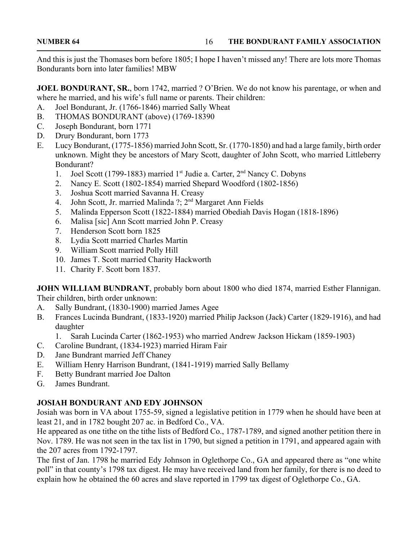And this is just the Thomases born before 1805; I hope I haven't missed any! There are lots more Thomas Bondurants born into later families! MBW

**JOEL BONDURANT, SR.**, born 1742, married ? O'Brien. We do not know his parentage, or when and where he married, and his wife's full name or parents. Their children:

- A. Joel Bondurant, Jr. (1766-1846) married Sally Wheat
- B. THOMAS BONDURANT (above) (1769-18390
- C. Joseph Bondurant, born 1771
- D. Drury Bondurant, born 1773
- E. Lucy Bondurant, (1775-1856) married John Scott, Sr. (1770-1850) and had a large family, birth order unknown. Might they be ancestors of Mary Scott, daughter of John Scott, who married Littleberry Bondurant?
	- 1. Joel Scott (1799-1883) married 1<sup>st</sup> Judie a. Carter, 2<sup>nd</sup> Nancy C. Dobyns
	- 2. Nancy E. Scott (1802-1854) married Shepard Woodford (1802-1856)
	- 3. Joshua Scott married Savanna H. Creasy
	- 4. John Scott, Jr. married Malinda ?; 2<sup>nd</sup> Margaret Ann Fields
	- 5. Malinda Epperson Scott (1822-1884) married Obediah Davis Hogan (1818-1896)
	- 6. Malisa [sic] Ann Scott married John P. Creasy
	- 7. Henderson Scott born 1825
	- 8. Lydia Scott married Charles Martin
	- 9. William Scott married Polly Hill
	- 10. James T. Scott married Charity Hackworth
	- 11. Charity F. Scott born 1837.

**JOHN WILLIAM BUNDRANT**, probably born about 1800 who died 1874, married Esther Flannigan. Their children, birth order unknown:

- A. Sally Bundrant, (1830-1900) married James Agee
- B. Frances Lucinda Bundrant, (1833-1920) married Philip Jackson (Jack) Carter (1829-1916), and had daughter
	- 1. Sarah Lucinda Carter (1862-1953) who married Andrew Jackson Hickam (1859-1903)
- C. Caroline Bundrant, (1834-1923) married Hiram Fair
- D. Jane Bundrant married Jeff Chaney
- E. William Henry Harrison Bundrant, (1841-1919) married Sally Bellamy
- F. Betty Bundrant married Joe Dalton
- G. James Bundrant.

#### **JOSIAH BONDURANT AND EDY JOHNSON**

Josiah was born in VA about 1755-59, signed a legislative petition in 1779 when he should have been at least 21, and in 1782 bought 207 ac. in Bedford Co., VA.

He appeared as one tithe on the tithe lists of Bedford Co., 1787-1789, and signed another petition there in Nov. 1789. He was not seen in the tax list in 1790, but signed a petition in 1791, and appeared again with the 207 acres from 1792-1797.

The first of Jan. 1798 he married Edy Johnson in Oglethorpe Co., GA and appeared there as "one white poll" in that county's 1798 tax digest. He may have received land from her family, for there is no deed to explain how he obtained the 60 acres and slave reported in 1799 tax digest of Oglethorpe Co., GA.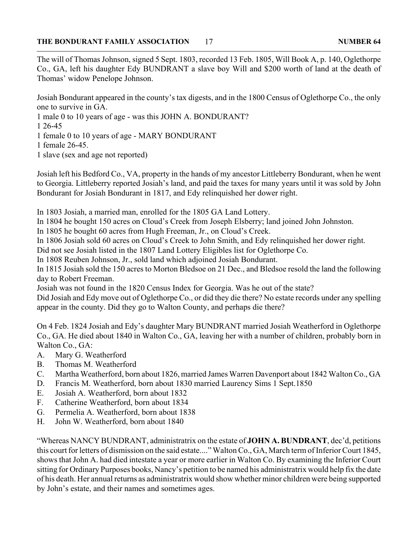The will of Thomas Johnson, signed 5 Sept. 1803, recorded 13 Feb. 1805, Will Book A, p. 140, Oglethorpe Co., GA, left his daughter Edy BUNDRANT a slave boy Will and \$200 worth of land at the death of Thomas' widow Penelope Johnson.

Josiah Bondurant appeared in the county's tax digests, and in the 1800 Census of Oglethorpe Co., the only one to survive in GA.

1 male 0 to 10 years of age - was this JOHN A. BONDURANT?

1 26-45

1 female 0 to 10 years of age - MARY BONDURANT

1 female 26-45.

1 slave (sex and age not reported)

Josiah left his Bedford Co., VA, property in the hands of my ancestor Littleberry Bondurant, when he went to Georgia. Littleberry reported Josiah's land, and paid the taxes for many years until it was sold by John Bondurant for Josiah Bondurant in 1817, and Edy relinquished her dower right.

In 1803 Josiah, a married man, enrolled for the 1805 GA Land Lottery.

In 1804 he bought 150 acres on Cloud's Creek from Joseph Elsberry; land joined John Johnston.

In 1805 he bought 60 acres from Hugh Freeman, Jr., on Cloud's Creek.

In 1806 Josiah sold 60 acres on Cloud's Creek to John Smith, and Edy relinquished her dower right.

Did not see Josiah listed in the 1807 Land Lottery Eligibles list for Oglethorpe Co.

In 1808 Reuben Johnson, Jr., sold land which adjoined Josiah Bondurant.

In 1815 Josiah sold the 150 acres to Morton Bledsoe on 21 Dec., and Bledsoe resold the land the following day to Robert Freeman.

Josiah was not found in the 1820 Census Index for Georgia. Was he out of the state?

Did Josiah and Edy move out of Oglethorpe Co., or did they die there? No estate records under any spelling appear in the county. Did they go to Walton County, and perhaps die there?

On 4 Feb. 1824 Josiah and Edy's daughter Mary BUNDRANT married Josiah Weatherford in Oglethorpe Co., GA. He died about 1840 in Walton Co., GA, leaving her with a number of children, probably born in Walton Co., GA:

- A. Mary G. Weatherford
- B. Thomas M. Weatherford
- C. Martha Weatherford, born about 1826, married James Warren Davenport about 1842 Walton Co., GA
- D. Francis M. Weatherford, born about 1830 married Laurency Sims 1 Sept.1850
- E. Josiah A. Weatherford, born about 1832
- F. Catherine Weatherford, born about 1834
- G. Permelia A. Weatherford, born about 1838
- H. John W. Weatherford, born about 1840

"Whereas NANCY BUNDRANT, administratrix on the estate of **JOHN A. BUNDRANT**, dec'd, petitions this court for letters of dismission on the said estate...." Walton Co., GA, March term of Inferior Court 1845, shows that John A. had died intestate a year or more earlier in Walton Co. By examining the Inferior Court sitting for Ordinary Purposes books, Nancy's petition to be named his administratrix would help fix the date of his death. Her annual returns as administratrix would show whether minor children were being supported by John's estate, and their names and sometimes ages.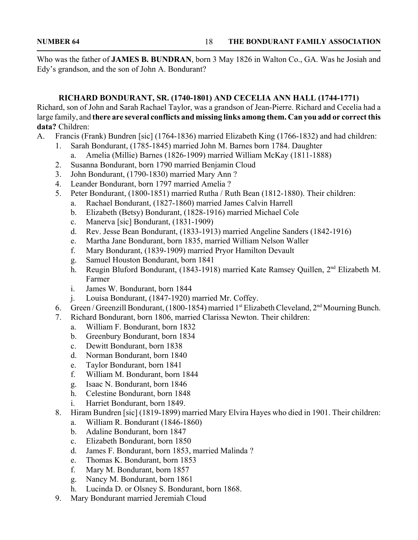Who was the father of **JAMES B. BUNDRAN**, born 3 May 1826 in Walton Co., GA. Was he Josiah and Edy's grandson, and the son of John A. Bondurant?

#### **RICHARD BONDURANT, SR. (1740-1801) AND CECELIA ANN HALL (1744-1771)**

Richard, son of John and Sarah Rachael Taylor, was a grandson of Jean-Pierre. Richard and Cecelia had a large family, and **there are several conflicts and missing links among them. Can you add or correct this data?** Children:

- A. Francis (Frank) Bundren [sic] (1764-1836) married Elizabeth King (1766-1832) and had children:
	- 1. Sarah Bondurant, (1785-1845) married John M. Barnes born 1784. Daughter
		- a. Amelia (Millie) Barnes (1826-1909) married William McKay (1811-1888)
	- 2. Susanna Bondurant, born 1790 married Benjamin Cloud
	- 3. John Bondurant, (1790-1830) married Mary Ann ?
	- 4. Leander Bondurant, born 1797 married Amelia ?
	- 5. Peter Bondurant, (1800-1851) married Rutha / Ruth Bean (1812-1880). Their children:
		- a. Rachael Bondurant, (1827-1860) married James Calvin Harrell
		- b. Elizabeth (Betsy) Bondurant, (1828-1916) married Michael Cole
		- c. Manerva [sic] Bondurant, (1831-1909)
		- d. Rev. Jesse Bean Bondurant, (1833-1913) married Angeline Sanders (1842-1916)
		- e. Martha Jane Bondurant, born 1835, married William Nelson Waller
		- f. Mary Bondurant, (1839-1909) married Pryor Hamilton Devault
		- g. Samuel Houston Bondurant, born 1841
		- h. Reugin Bluford Bondurant, (1843-1918) married Kate Ramsey Ouillen, 2<sup>nd</sup> Elizabeth M. Farmer
		- i. James W. Bondurant, born 1844
		- j. Louisa Bondurant, (1847-1920) married Mr. Coffey.
	- 6. Green / Greenzill Bondurant, (1800-1854) married 1<sup>st</sup> Elizabeth Cleveland, 2<sup>nd</sup> Mourning Bunch.
	- 7. Richard Bondurant, born 1806, married Clarissa Newton. Their children:
		- a. William F. Bondurant, born 1832
		- b. Greenbury Bondurant, born 1834
		- c. Dewitt Bondurant, born 1838
		- d. Norman Bondurant, born 1840
		- e. Taylor Bondurant, born 1841
		- f. William M. Bondurant, born 1844
		- g. Isaac N. Bondurant, born 1846
		- h. Celestine Bondurant, born 1848
		- i. Harriet Bondurant, born 1849.
	- 8. Hiram Bundren [sic] (1819-1899) married Mary Elvira Hayes who died in 1901. Their children:
		- a. William R. Bondurant (1846-1860)
		- b. Adaline Bondurant, born 1847
		- c. Elizabeth Bondurant, born 1850
		- d. James F. Bondurant, born 1853, married Malinda ?
		- e. Thomas K. Bondurant, born 1853
		- f. Mary M. Bondurant, born 1857
		- g. Nancy M. Bondurant, born 1861
		- h. Lucinda D. or Olsney S. Bondurant, born 1868.
	- 9. Mary Bondurant married Jeremiah Cloud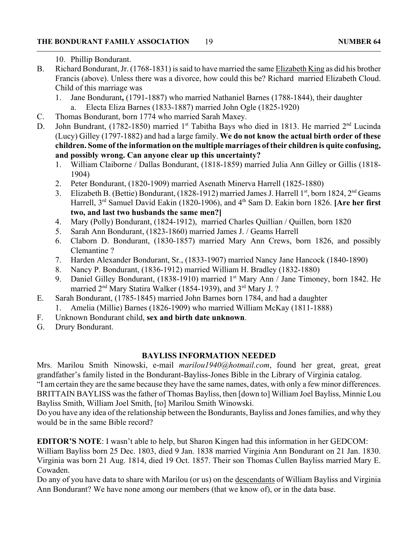- 10. Phillip Bondurant.
- B. Richard Bondurant, Jr. (1768-1831) is said to have married the same Elizabeth King as did his brother Francis (above). Unless there was a divorce, how could this be? Richard married Elizabeth Cloud. Child of this marriage was
	- 1. Jane Bondurant**,** (1791-1887) who married Nathaniel Barnes (1788-1844), their daughter
		- a. Electa Eliza Barnes (1833-1887) married John Ogle (1825-1920)
- C. Thomas Bondurant, born 1774 who married Sarah Maxey.
- D. John Bundrant, (1782-1850) married 1<sup>st</sup> Tabitha Bays who died in 1813. He married 2<sup>nd</sup> Lucinda (Lucy) Gilley (1797-1882) and had a large family. **We do not know the actual birth order of these children. Some of the information on the multiple marriages of their children is quite confusing, and possibly wrong. Can anyone clear up this uncertainty?**
	- 1. William Claiborne / Dallas Bondurant, (1818-1859) married Julia Ann Gilley or Gillis (1818- 1904)
	- 2. Peter Bondurant, (1820-1909) married Asenath Minerva Harrell (1825-1880)
	- 3. Elizabeth B. (Bettie) Bondurant, (1828-1912) married James J. Harrell 1<sup>st</sup>, born 1824, 2<sup>nd</sup> Geams Harrell, 3<sup>rd</sup> Samuel David Eakin (1820-1906), and 4<sup>th</sup> Sam D. Eakin born 1826. **[Are her first**] **two, and last two husbands the same men?]**
	- 4. Mary (Polly) Bondurant, (1824-1912), married Charles Quillian / Quillen, born 1820
	- 5. Sarah Ann Bondurant, (1823-1860) married James J. / Geams Harrell
	- 6. Claborn D. Bondurant, (1830-1857) married Mary Ann Crews, born 1826, and possibly Clemantine ?
	- 7. Harden Alexander Bondurant, Sr., (1833-1907) married Nancy Jane Hancock (1840-1890)
	- 8. Nancy P. Bondurant, (1836-1912) married William H. Bradley (1832-1880)
	- 9. Daniel Gilley Bondurant, (1838-1910) married 1<sup>st</sup> Mary Ann / Jane Timoney, born 1842. He married 2<sup>nd</sup> Mary Statira Walker (1854-1939), and 3<sup>rd</sup> Mary J.?
- E. Sarah Bondurant, (1785-1845) married John Barnes born 1784, and had a daughter
	- 1. Amelia (Millie) Barnes (1826-1909) who married William McKay (1811-1888)
- F. Unknown Bondurant child, **sex and birth date unknown**.
- G. Drury Bondurant.

#### **BAYLISS INFORMATION NEEDED**

Mrs. Marilou Smith Ninowski, e-mail *marilou1940@hotmail.com*, found her great, great, great grandfather's family listed in the Bondurant-Bayliss-Jones Bible in the Library of Virginia catalog. "I am certain they are the same because they have the same names, dates, with only a few minor differences. BRITTAIN BAYLISS was the father of Thomas Bayliss, then [down to] William Joel Bayliss, Minnie Lou Bayliss Smith, William Joel Smith, [to] Marilou Smith Winowski.

Do you have any idea of the relationship between the Bondurants, Bayliss and Jones families, and why they would be in the same Bible record?

**EDITOR'S NOTE**: I wasn't able to help, but Sharon Kingen had this information in her GEDCOM: William Bayliss born 25 Dec. 1803, died 9 Jan. 1838 married Virginia Ann Bondurant on 21 Jan. 1830. Virginia was born 21 Aug. 1814, died 19 Oct. 1857. Their son Thomas Cullen Bayliss married Mary E. Cowaden.

Do any of you have data to share with Marilou (or us) on the descendants of William Bayliss and Virginia Ann Bondurant? We have none among our members (that we know of), or in the data base.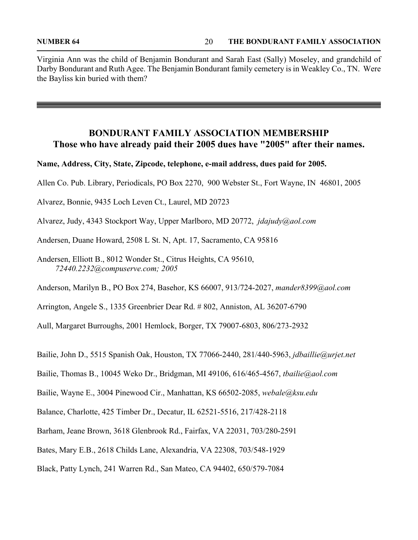Virginia Ann was the child of Benjamin Bondurant and Sarah East (Sally) Moseley, and grandchild of Darby Bondurant and Ruth Agee. The Benjamin Bondurant family cemetery is in Weakley Co., TN. Were the Bayliss kin buried with them?

### **BONDURANT FAMILY ASSOCIATION MEMBERSHIP Those who have already paid their 2005 dues have "2005" after their names.**

#### **Name, Address, City, State, Zipcode, telephone, e-mail address, dues paid for 2005.**

Allen Co. Pub. Library, Periodicals, PO Box 2270, 900 Webster St., Fort Wayne, IN 46801, 2005

Alvarez, Bonnie, 9435 Loch Leven Ct., Laurel, MD 20723

Alvarez, Judy, 4343 Stockport Way, Upper Marlboro, MD 20772, *jdajudy@aol.com*

Andersen, Duane Howard, 2508 L St. N, Apt. 17, Sacramento, CA 95816

Andersen, Elliott B., 8012 Wonder St., Citrus Heights, CA 95610, *72440.2232@compuserve.com; 2005*

Anderson, Marilyn B., PO Box 274, Basehor, KS 66007, 913/724-2027, *mander8399@aol.com*

Arrington, Angele S., 1335 Greenbrier Dear Rd. # 802, Anniston, AL 36207-6790

Aull, Margaret Burroughs, 2001 Hemlock, Borger, TX 79007-6803, 806/273-2932

Bailie, John D., 5515 Spanish Oak, Houston, TX 77066-2440, 281/440-5963, *jdbaillie@urjet.net* 

Bailie, Thomas B., 10045 Weko Dr., Bridgman, MI 49106, 616/465-4567, *tbailie@aol.com*

Bailie, Wayne E., 3004 Pinewood Cir., Manhattan, KS 66502-2085, *webale@ksu.edu*

Balance, Charlotte, 425 Timber Dr., Decatur, IL 62521-5516, 217/428-2118

Barham, Jeane Brown, 3618 Glenbrook Rd., Fairfax, VA 22031, 703/280-2591

Bates, Mary E.B., 2618 Childs Lane, Alexandria, VA 22308, 703/548-1929

Black, Patty Lynch, 241 Warren Rd., San Mateo, CA 94402, 650/579-7084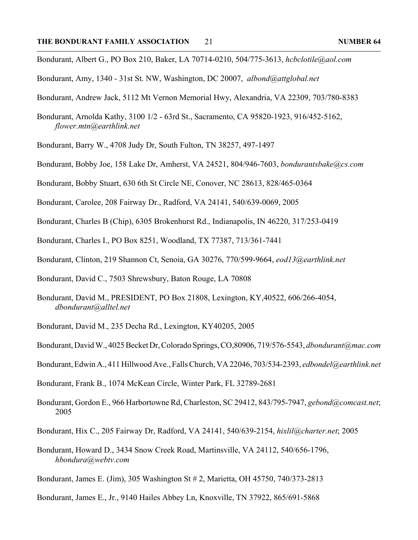Bondurant, Albert G., PO Box 210, Baker, LA 70714-0210, 504/775-3613, *hcbclotile@aol.com*

Bondurant, Amy, 1340 - 31st St. NW, Washington, DC 20007, *albond@attglobal.net*

- Bondurant, Andrew Jack, 5112 Mt Vernon Memorial Hwy, Alexandria, VA 22309, 703/780-8383
- Bondurant, Arnolda Kathy, 3100 1/2 63rd St., Sacramento, CA 95820-1923, 916/452-5162, *flower.mtn@earthlink.net*
- Bondurant, Barry W., 4708 Judy Dr, South Fulton, TN 38257, 497-1497
- Bondurant, Bobby Joe, 158 Lake Dr, Amherst, VA 24521, 804/946-7603, *bondurantsbake@cs.com*
- Bondurant, Bobby Stuart, 630 6th St Circle NE, Conover, NC 28613, 828/465-0364
- Bondurant, Carolee, 208 Fairway Dr., Radford, VA 24141, 540/639-0069, 2005
- Bondurant, Charles B (Chip), 6305 Brokenhurst Rd., Indianapolis, IN 46220, 317/253-0419
- Bondurant, Charles I., PO Box 8251, Woodland, TX 77387, 713/361-7441
- Bondurant, Clinton, 219 Shannon Ct, Senoia, GA 30276, 770/599-9664, *eod13@earthlink.net*
- Bondurant, David C., 7503 Shrewsbury, Baton Rouge, LA 70808
- Bondurant, David M., PRESIDENT, PO Box 21808, Lexington, KY,40522, 606/266-4054, *dbondurant@alltel.net*
- Bondurant, David M., 235 Decha Rd., Lexington, KY40205, 2005
- Bondurant, David W., 4025 Becket Dr, Colorado Springs, CO,80906, 719/576-5543, *dbondurant@mac.com*
- Bondurant, Edwin A., 411 Hillwood Ave., Falls Church, VA 22046, 703/534-2393, *edbondel@earthlink.net*
- Bondurant, Frank B., 1074 McKean Circle, Winter Park, FL 32789-2681
- Bondurant, Gordon E., 966 Harbortowne Rd, Charleston, SC 29412, 843/795-7947, *gebond@comcast.net*; 2005
- Bondurant, Hix C., 205 Fairway Dr, Radford, VA 24141, 540/639-2154, *hixlil@charter.net*; 2005
- Bondurant, Howard D., 3434 Snow Creek Road, Martinsville, VA 24112, 540/656-1796, *hbondura@webtv.com*
- Bondurant, James E. (Jim), 305 Washington St # 2, Marietta, OH 45750, 740/373-2813
- Bondurant, James E., Jr., 9140 Hailes Abbey Ln, Knoxville, TN 37922, 865/691-5868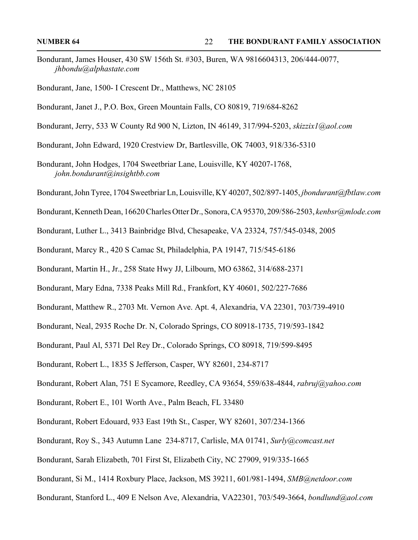- Bondurant, James Houser, 430 SW 156th St. #303, Buren, WA 9816604313, 206/444-0077, *jhbondu@alphastate.com*
- Bondurant, Jane, 1500- I Crescent Dr., Matthews, NC 28105
- Bondurant, Janet J., P.O. Box, Green Mountain Falls, CO 80819, 719/684-8262
- Bondurant, Jerry, 533 W County Rd 900 N, Lizton, IN 46149, 317/994-5203, *skizzix1@aol.com*
- Bondurant, John Edward, 1920 Crestview Dr, Bartlesville, OK 74003, 918/336-5310
- Bondurant, John Hodges, 1704 Sweetbriar Lane, Louisville, KY 40207-1768, *john.bondurant@insightbb.com*
- Bondurant, John Tyree, 1704 Sweetbriar Ln, Louisville, KY 40207, 502/897-1405, *jbondurant@fbtlaw.com*
- Bondurant, Kenneth Dean, 16620 Charles Otter Dr., Sonora, CA 95370, 209/586-2503, *kenbsr@mlode.com*
- Bondurant, Luther L., 3413 Bainbridge Blvd, Chesapeake, VA 23324, 757/545-0348, 2005
- Bondurant, Marcy R., 420 S Camac St, Philadelphia, PA 19147, 715/545-6186
- Bondurant, Martin H., Jr., 258 State Hwy JJ, Lilbourn, MO 63862, 314/688-2371
- Bondurant, Mary Edna, 7338 Peaks Mill Rd., Frankfort, KY 40601, 502/227-7686
- Bondurant, Matthew R., 2703 Mt. Vernon Ave. Apt. 4, Alexandria, VA 22301, 703/739-4910
- Bondurant, Neal, 2935 Roche Dr. N, Colorado Springs, CO 80918-1735, 719/593-1842
- Bondurant, Paul Al, 5371 Del Rey Dr., Colorado Springs, CO 80918, 719/599-8495
- Bondurant, Robert L., 1835 S Jefferson, Casper, WY 82601, 234-8717
- Bondurant, Robert Alan, 751 E Sycamore, Reedley, CA 93654, 559/638-4844, *rabruj@yahoo.com*
- Bondurant, Robert E., 101 Worth Ave., Palm Beach, FL 33480
- Bondurant, Robert Edouard, 933 East 19th St., Casper, WY 82601, 307/234-1366
- Bondurant, Roy S., 343 Autumn Lane 234-8717, Carlisle, MA 01741, *Surly@comcast.net*
- Bondurant, Sarah Elizabeth, 701 First St, Elizabeth City, NC 27909, 919/335-1665
- Bondurant, Si M., 1414 Roxbury Place, Jackson, MS 39211, 601/981-1494, *SMB@netdoor.com*
- Bondurant, Stanford L., 409 E Nelson Ave, Alexandria, VA22301, 703/549-3664, *bondlund@aol.com*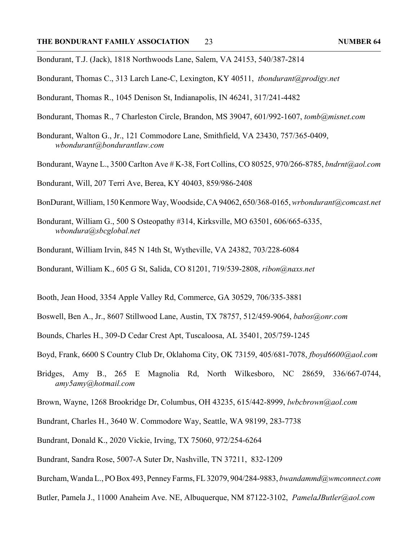- Bondurant, T.J. (Jack), 1818 Northwoods Lane, Salem, VA 24153, 540/387-2814
- Bondurant, Thomas C., 313 Larch Lane-C, Lexington, KY 40511, *tbondurant@prodigy.net*
- Bondurant, Thomas R., 1045 Denison St, Indianapolis, IN 46241, 317/241-4482
- Bondurant, Thomas R., 7 Charleston Circle, Brandon, MS 39047, 601/992-1607, *tomb@misnet.com*
- Bondurant, Walton G., Jr., 121 Commodore Lane, Smithfield, VA 23430, 757/365-0409, *wbondurant@bondurantlaw.com*
- Bondurant, Wayne L., 3500 Carlton Ave # K-38, Fort Collins, CO 80525, 970/266-8785, *bndrnt@aol.com*
- Bondurant, Will, 207 Terri Ave, Berea, KY 40403, 859/986-2408
- BonDurant, William, 150 Kenmore Way, Woodside, CA 94062, 650/368-0165, *wrbondurant@comcast.net*
- Bondurant, William G., 500 S Osteopathy #314, Kirksville, MO 63501, 606/665-6335, *wbondura@sbcglobal.net*
- Bondurant, William Irvin, 845 N 14th St, Wytheville, VA 24382, 703/228-6084
- Bondurant, William K., 605 G St, Salida, CO 81201, 719/539-2808, *ribon@naxs.net*
- Booth, Jean Hood, 3354 Apple Valley Rd, Commerce, GA 30529, 706/335-3881
- Boswell, Ben A., Jr., 8607 Stillwood Lane, Austin, TX 78757, 512/459-9064, *babos@onr.com*
- Bounds, Charles H., 309-D Cedar Crest Apt, Tuscaloosa, AL 35401, 205/759-1245
- Boyd, Frank, 6600 S Country Club Dr, Oklahoma City, OK 73159, 405/681-7078, *fboyd6600@aol.com*
- Bridges, Amy B., 265 E Magnolia Rd, North Wilkesboro, NC 28659, 336/667-0744, *amy5amy@hotmail.com*
- Brown, Wayne, 1268 Brookridge Dr, Columbus, OH 43235, 615/442-8999, *lwbcbrown@aol.com*
- Bundrant, Charles H., 3640 W. Commodore Way, Seattle, WA 98199, 283-7738
- Bundrant, Donald K., 2020 Vickie, Irving, TX 75060, 972/254-6264
- Bundrant, Sandra Rose, 5007-A Suter Dr, Nashville, TN 37211, 832-1209
- Burcham, Wanda L., PO Box 493, Penney Farms, FL 32079, 904/284-9883, *bwandammd@wmconnect.com*
- Butler, Pamela J., 11000 Anaheim Ave. NE, Albuquerque, NM 87122-3102, *PamelaJButler@aol.com*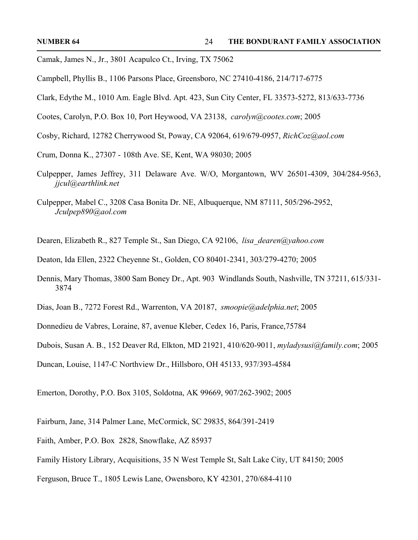- Camak, James N., Jr., 3801 Acapulco Ct., Irving, TX 75062
- Campbell, Phyllis B., 1106 Parsons Place, Greensboro, NC 27410-4186, 214/717-6775
- Clark, Edythe M., 1010 Am. Eagle Blvd. Apt. 423, Sun City Center, FL 33573-5272, 813/633-7736
- Cootes, Carolyn, P.O. Box 10, Port Heywood, VA 23138, *carolyn@cootes.com*; 2005
- Cosby, Richard, 12782 Cherrywood St, Poway, CA 92064, 619/679-0957, *RichCoz@aol.com*
- Crum, Donna K., 27307 108th Ave. SE, Kent, WA 98030; 2005
- Culpepper, James Jeffrey, 311 Delaware Ave. W/O, Morgantown, WV 26501-4309, 304/284-9563, *jjcul@earthlink.net*
- Culpepper, Mabel C., 3208 Casa Bonita Dr. NE, Albuquerque, NM 87111, 505/296-2952, *Jculpep890@aol.com*
- Dearen, Elizabeth R., 827 Temple St., San Diego, CA 92106, *lisa\_dearen@yahoo.com*
- Deaton, Ida Ellen, 2322 Cheyenne St., Golden, CO 80401-2341, 303/279-4270; 2005
- Dennis, Mary Thomas, 3800 Sam Boney Dr., Apt. 903 Windlands South, Nashville, TN 37211, 615/331- 3874
- Dias, Joan B., 7272 Forest Rd., Warrenton, VA 20187, *smoopie@adelphia.net*; 2005
- Donnedieu de Vabres, Loraine, 87, avenue Kleber, Cedex 16, Paris, France,75784
- Dubois, Susan A. B., 152 Deaver Rd, Elkton, MD 21921, 410/620-9011, *myladysusi@family.com*; 2005
- Duncan, Louise, 1147-C Northview Dr., Hillsboro, OH 45133, 937/393-4584
- Emerton, Dorothy, P.O. Box 3105, Soldotna, AK 99669, 907/262-3902; 2005
- Fairburn, Jane, 314 Palmer Lane, McCormick, SC 29835, 864/391-2419
- Faith, Amber, P.O. Box 2828, Snowflake, AZ 85937
- Family History Library, Acquisitions, 35 N West Temple St, Salt Lake City, UT 84150; 2005
- Ferguson, Bruce T., 1805 Lewis Lane, Owensboro, KY 42301, 270/684-4110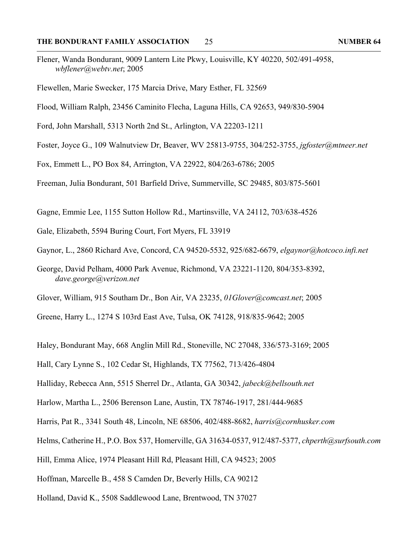- Flener, Wanda Bondurant, 9009 Lantern Lite Pkwy, Louisville, KY 40220, 502/491-4958, *wbflener@webtv.net*; 2005
- Flewellen, Marie Swecker, 175 Marcia Drive, Mary Esther, FL 32569
- Flood, William Ralph, 23456 Caminito Flecha, Laguna Hills, CA 92653, 949/830-5904
- Ford, John Marshall, 5313 North 2nd St., Arlington, VA 22203-1211
- Foster, Joyce G., 109 Walnutview Dr, Beaver, WV 25813-9755, 304/252-3755, *jgfoster@mtneer.net*
- Fox, Emmett L., PO Box 84, Arrington, VA 22922, 804/263-6786; 2005
- Freeman, Julia Bondurant, 501 Barfield Drive, Summerville, SC 29485, 803/875-5601
- Gagne, Emmie Lee, 1155 Sutton Hollow Rd., Martinsville, VA 24112, 703/638-4526
- Gale, Elizabeth, 5594 Buring Court, Fort Myers, FL 33919
- Gaynor, L., 2860 Richard Ave, Concord, CA 94520-5532, 925/682-6679, *elgaynor@hotcoco.infi.net*
- George, David Pelham, 4000 Park Avenue, Richmond, VA 23221-1120, 804/353-8392, *dave.george@verizon.net*
- Glover, William, 915 Southam Dr., Bon Air, VA 23235, *01Glover@comcast.net*; 2005
- Greene, Harry L., 1274 S 103rd East Ave, Tulsa, OK 74128, 918/835-9642; 2005
- Haley, Bondurant May, 668 Anglin Mill Rd., Stoneville, NC 27048, 336/573-3169; 2005
- Hall, Cary Lynne S., 102 Cedar St, Highlands, TX 77562, 713/426-4804
- Halliday, Rebecca Ann, 5515 Sherrel Dr., Atlanta, GA 30342, *jabeck@bellsouth.net*
- Harlow, Martha L., 2506 Berenson Lane, Austin, TX 78746-1917, 281/444-9685
- Harris, Pat R., 3341 South 48, Lincoln, NE 68506, 402/488-8682, *harris@cornhusker.com*
- Helms, Catherine H., P.O. Box 537, Homerville, GA 31634-0537, 912/487-5377, *chperth@surfsouth.com*
- Hill, Emma Alice, 1974 Pleasant Hill Rd, Pleasant Hill, CA 94523; 2005
- Hoffman, Marcelle B., 458 S Camden Dr, Beverly Hills, CA 90212
- Holland, David K., 5508 Saddlewood Lane, Brentwood, TN 37027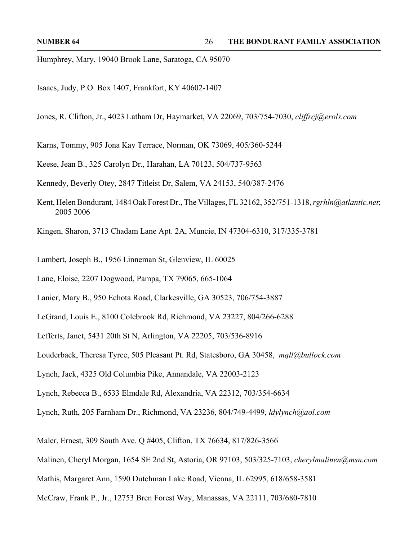Humphrey, Mary, 19040 Brook Lane, Saratoga, CA 95070

Isaacs, Judy, P.O. Box 1407, Frankfort, KY 40602-1407

- Jones, R. Clifton, Jr., 4023 Latham Dr, Haymarket, VA 22069, 703/754-7030, *cliffrcj@erols.com*
- Karns, Tommy, 905 Jona Kay Terrace, Norman, OK 73069, 405/360-5244
- Keese, Jean B., 325 Carolyn Dr., Harahan, LA 70123, 504/737-9563
- Kennedy, Beverly Otey, 2847 Titleist Dr, Salem, VA 24153, 540/387-2476
- Kent, Helen Bondurant, 1484 Oak Forest Dr., The Villages, FL 32162, 352/751-1318, *rgrhln@atlantic.net*; 2005 2006
- Kingen, Sharon, 3713 Chadam Lane Apt. 2A, Muncie, IN 47304-6310, 317/335-3781
- Lambert, Joseph B., 1956 Linneman St, Glenview, IL 60025
- Lane, Eloise, 2207 Dogwood, Pampa, TX 79065, 665-1064
- Lanier, Mary B., 950 Echota Road, Clarkesville, GA 30523, 706/754-3887
- LeGrand, Louis E., 8100 Colebrook Rd, Richmond, VA 23227, 804/266-6288
- Lefferts, Janet, 5431 20th St N, Arlington, VA 22205, 703/536-8916
- Louderback, Theresa Tyree, 505 Pleasant Pt. Rd, Statesboro, GA 30458, *mqll@bullock.com*
- Lynch, Jack, 4325 Old Columbia Pike, Annandale, VA 22003-2123
- Lynch, Rebecca B., 6533 Elmdale Rd, Alexandria, VA 22312, 703/354-6634
- Lynch, Ruth, 205 Farnham Dr., Richmond, VA 23236, 804/749-4499, *ldylynch@aol.com*
- Maler, Ernest, 309 South Ave. Q #405, Clifton, TX 76634, 817/826-3566
- Malinen, Cheryl Morgan, 1654 SE 2nd St, Astoria, OR 97103, 503/325-7103, *cherylmalinen@msn.com*
- Mathis, Margaret Ann, 1590 Dutchman Lake Road, Vienna, IL 62995, 618/658-3581
- McCraw, Frank P., Jr., 12753 Bren Forest Way, Manassas, VA 22111, 703/680-7810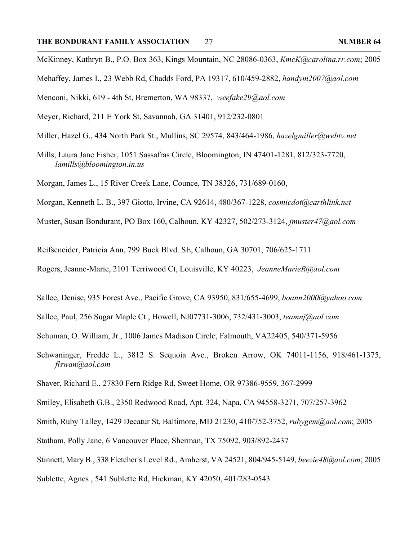McKinney, Kathryn B., P.O. Box 363, Kings Mountain, NC 28086-0363, *KmcK@carolina.rr.com*; 2005

Mehaffey, James I., 23 Webb Rd, Chadds Ford, PA 19317, 610/459-2882, *handym2007@aol.com*

Menconi, Nikki, 619 - 4th St, Bremerton, WA 98337, *weefake29@aol.com*

Meyer, Richard, 211 E York St, Savannah, GA 31401, 912/232-0801

- Miller, Hazel G., 434 North Park St., Mullins, SC 29574, 843/464-1986, *hazelgmiller@webtv.net*
- Mills, Laura Jane Fisher, 1051 Sassafras Circle, Bloomington, IN 47401-1281, 812/323-7720, *lamills@bloomington.in.us*

Morgan, James L., 15 River Creek Lane, Counce, TN 38326, 731/689-0160,

Morgan, Kenneth L. B., 397 Giotto, Irvine, CA 92614, 480/367-1228, *cosmicdot@earthlink.net*

Muster, Susan Bondurant, PO Box 160, Calhoun, KY 42327, 502/273-3124, *jmuster47@aol.com*

Reifscneider, Patricia Ann, 799 Buck Blvd. SE, Calhoun, GA 30701, 706/625-1711

Rogers, Jeanne-Marie, 2101 Terriwood Ct, Louisville, KY 40223, *JeanneMarieR@aol.com*

Sallee, Denise, 935 Forest Ave., Pacific Grove, CA 93950, 831/655-4699, *boann2000@yahoo.com*

Sallee, Paul, 256 Sugar Maple Ct., Howell, NJ07731-3006, 732/431-3003, *teamnj@aol.com*

Schuman, O. William, Jr., 1006 James Madison Circle, Falmouth, VA22405, 540/371-5956

- Schwaninger, Fredde L., 3812 S. Sequoia Ave., Broken Arrow, OK 74011-1156, 918/461-1375, *flswan@aol.com*
- Shaver, Richard E., 27830 Fern Ridge Rd, Sweet Home, OR 97386-9559, 367-2999
- Smiley, Elisabeth G.B., 2350 Redwood Road, Apt. 324, Napa, CA 94558-3271, 707/257-3962
- Smith, Ruby Talley, 1429 Decatur St, Baltimore, MD 21230, 410/752-3752, *rubygem@aol.com*; 2005
- Statham, Polly Jane, 6 Vancouver Place, Sherman, TX 75092, 903/892-2437
- Stinnett, Mary B., 338 Fletcher's Level Rd., Amherst, VA 24521, 804/945-5149, *beezie48@aol.com*; 2005
- Sublette, Agnes , 541 Sublette Rd, Hickman, KY 42050, 401/283-0543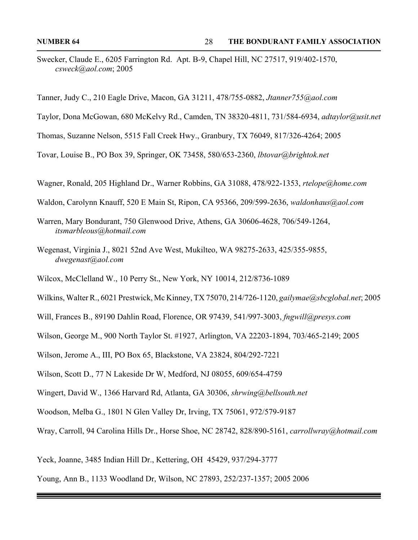Swecker, Claude E., 6205 Farrington Rd. Apt. B-9, Chapel Hill, NC 27517, 919/402-1570, *csweck@aol.com*; 2005

Tanner, Judy C., 210 Eagle Drive, Macon, GA 31211, 478/755-0882, *Jtanner755@aol.com*

Taylor, Dona McGowan, 680 McKelvy Rd., Camden, TN 38320-4811, 731/584-6934, *adtaylor@usit.net*

Thomas, Suzanne Nelson, 5515 Fall Creek Hwy., Granbury, TX 76049, 817/326-4264; 2005

Tovar, Louise B., PO Box 39, Springer, OK 73458, 580/653-2360, *lbtovar@brightok.net*

Wagner, Ronald, 205 Highland Dr., Warner Robbins, GA 31088, 478/922-1353, *rtelope@home.com*

Waldon, Carolynn Knauff, 520 E Main St, Ripon, CA 95366, 209/599-2636, *waldonhaus@aol.com*

Warren, Mary Bondurant, 750 Glenwood Drive, Athens, GA 30606-4628, 706/549-1264, *itsmarbleous@hotmail.com*

Wegenast, Virginia J., 8021 52nd Ave West, Mukilteo, WA 98275-2633, 425/355-9855, *dwegenast@aol.com*

Wilcox, McClelland W., 10 Perry St., New York, NY 10014, 212/8736-1089

Wilkins, Walter R., 6021 Prestwick, Mc Kinney, TX 75070, 214/726-1120, *gailymae@sbcglobal.net*; 2005

Will, Frances B., 89190 Dahlin Road, Florence, OR 97439, 541/997-3003, *fngwill@presys.com*

Wilson, George M., 900 North Taylor St. #1927, Arlington, VA 22203-1894, 703/465-2149; 2005

Wilson, Jerome A., III, PO Box 65, Blackstone, VA 23824, 804/292-7221

Wilson, Scott D., 77 N Lakeside Dr W, Medford, NJ 08055, 609/654-4759

Wingert, David W., 1366 Harvard Rd, Atlanta, GA 30306, *shrwing@bellsouth.net*

Woodson, Melba G., 1801 N Glen Valley Dr, Irving, TX 75061, 972/579-9187

Wray, Carroll, 94 Carolina Hills Dr., Horse Shoe, NC 28742, 828/890-5161, *carrollwray@hotmail.com*

Yeck, Joanne, 3485 Indian Hill Dr., Kettering, OH 45429, 937/294-3777

Young, Ann B., 1133 Woodland Dr, Wilson, NC 27893, 252/237-1357; 2005 2006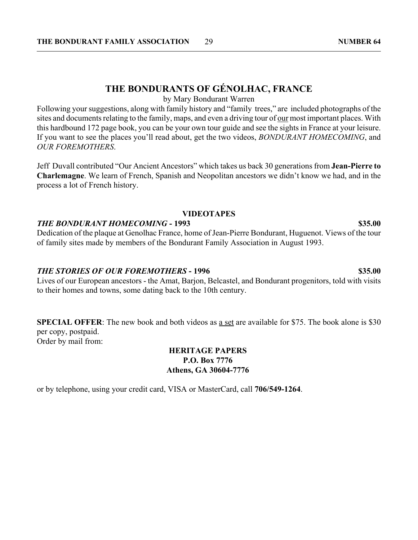## **THE BONDURANTS OF GÉNOLHAC, FRANCE**

by Mary Bondurant Warren

Following your suggestions, along with family history and "family trees," are included photographs of the sites and documents relating to the family, maps, and even a driving tour of our most important places. With this hardbound 172 page book, you can be your own tour guide and see the sights in France at your leisure. If you want to see the places you'll read about, get the two videos, *BONDURANT HOMECOMING*, and *OUR FOREMOTHERS*.

Jeff Duvall contributed "Our Ancient Ancestors" which takes us back 30 generations from **Jean-Pierre to Charlemagne**. We learn of French, Spanish and Neopolitan ancestors we didn't know we had, and in the process a lot of French history.

#### **VIDEOTAPES**

#### *THE BONDURANT HOMECOMING* **- 1993 \$35.00**

Dedication of the plaque at Genolhac France, home of Jean-Pierre Bondurant, Huguenot. Views of the tour of family sites made by members of the Bondurant Family Association in August 1993.

#### **THE STORIES OF OUR FOREMOTHERS - 1996** \$35.00

Lives of our European ancestors - the Amat, Barjon, Belcastel, and Bondurant progenitors, told with visits to their homes and towns, some dating back to the 10th century.

**SPECIAL OFFER:** The new book and both videos as <u>a set</u> are available for \$75. The book alone is \$30 per copy, postpaid. Order by mail from:

> **HERITAGE PAPERS P.O. Box 7776 Athens, GA 30604-7776**

or by telephone, using your credit card, VISA or MasterCard, call **706/549-1264**.